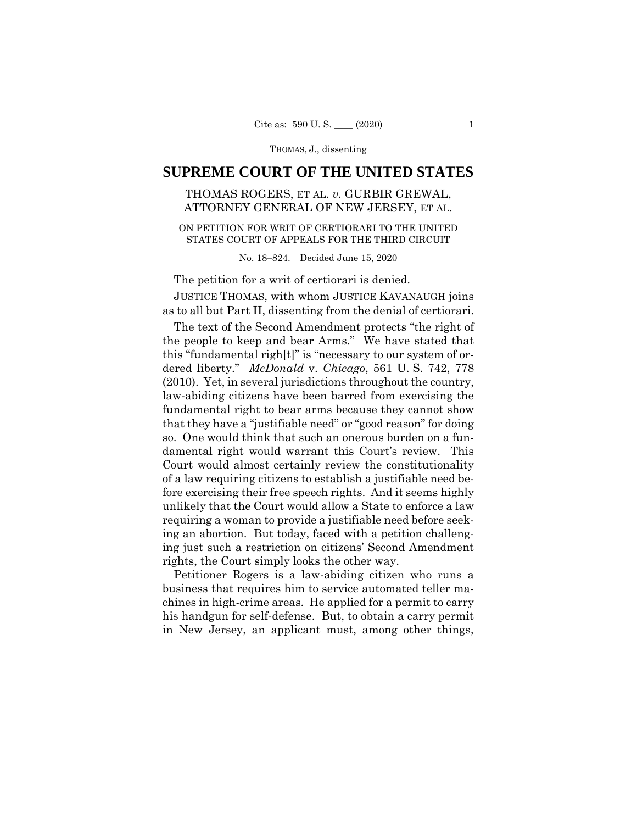# **SUPREME COURT OF THE UNITED STATES**

## THOMAS ROGERS, ET AL. *v.* GURBIR GREWAL, ATTORNEY GENERAL OF NEW JERSEY, ET AL.

## ON PETITION FOR WRIT OF CERTIORARI TO THE UNITED STATES COURT OF APPEALS FOR THE THIRD CIRCUIT

No. 18–824. Decided June 15, 2020

The petition for a writ of certiorari is denied.

JUSTICE THOMAS, with whom JUSTICE KAVANAUGH joins as to all but Part II, dissenting from the denial of certiorari.

The text of the Second Amendment protects "the right of the people to keep and bear Arms." We have stated that this "fundamental righ[t]" is "necessary to our system of ordered liberty." *McDonald* v. *Chicago*, 561 U. S. 742, 778 (2010). Yet, in several jurisdictions throughout the country, law-abiding citizens have been barred from exercising the fundamental right to bear arms because they cannot show that they have a "justifiable need" or "good reason" for doing so. One would think that such an onerous burden on a fundamental right would warrant this Court's review. This Court would almost certainly review the constitutionality of a law requiring citizens to establish a justifiable need before exercising their free speech rights. And it seems highly unlikely that the Court would allow a State to enforce a law requiring a woman to provide a justifiable need before seeking an abortion. But today, faced with a petition challenging just such a restriction on citizens' Second Amendment rights, the Court simply looks the other way.

Petitioner Rogers is a law-abiding citizen who runs a business that requires him to service automated teller machines in high-crime areas. He applied for a permit to carry his handgun for self-defense. But, to obtain a carry permit in New Jersey, an applicant must, among other things,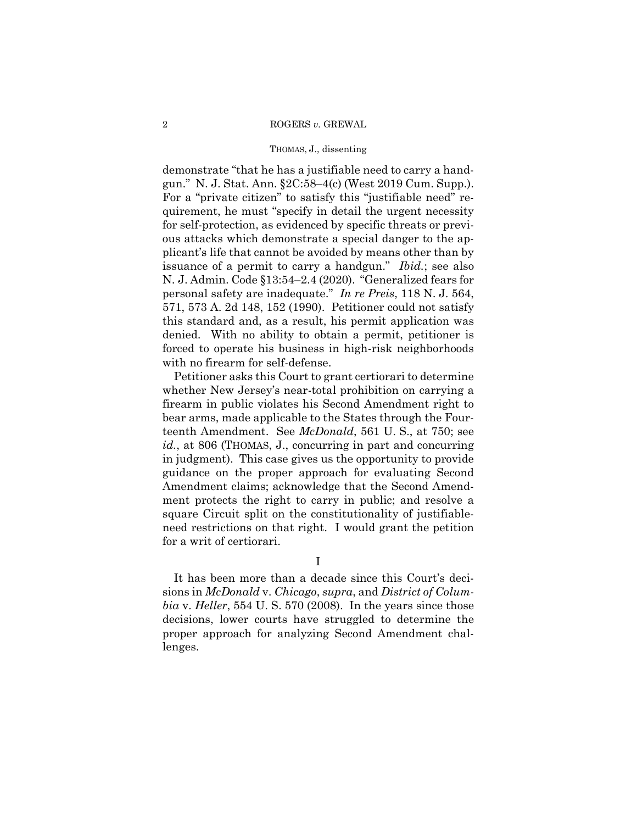#### 2 ROGERS *v.* GREWAL

#### THOMAS, J., dissenting

demonstrate "that he has a justifiable need to carry a handgun." N. J. Stat. Ann. §2C:58–4(c) (West 2019 Cum. Supp.). For a "private citizen" to satisfy this "justifiable need" requirement, he must "specify in detail the urgent necessity for self-protection, as evidenced by specific threats or previous attacks which demonstrate a special danger to the applicant's life that cannot be avoided by means other than by issuance of a permit to carry a handgun." *Ibid.*; see also N. J. Admin. Code §13:54–2.4 (2020). "Generalized fears for personal safety are inadequate." *In re Preis*, 118 N. J. 564, 571, 573 A. 2d 148, 152 (1990). Petitioner could not satisfy this standard and, as a result, his permit application was denied. With no ability to obtain a permit, petitioner is forced to operate his business in high-risk neighborhoods with no firearm for self-defense.

Petitioner asks this Court to grant certiorari to determine whether New Jersey's near-total prohibition on carrying a firearm in public violates his Second Amendment right to bear arms, made applicable to the States through the Fourteenth Amendment. See *McDonald*, 561 U. S., at 750; see *id.*, at 806 (THOMAS, J., concurring in part and concurring in judgment). This case gives us the opportunity to provide guidance on the proper approach for evaluating Second Amendment claims; acknowledge that the Second Amendment protects the right to carry in public; and resolve a square Circuit split on the constitutionality of justifiableneed restrictions on that right. I would grant the petition for a writ of certiorari.

I

It has been more than a decade since this Court's decisions in *McDonald* v. *Chicago*, *supra*, and *District of Columbia* v. *Heller*, 554 U. S. 570 (2008). In the years since those decisions, lower courts have struggled to determine the proper approach for analyzing Second Amendment challenges.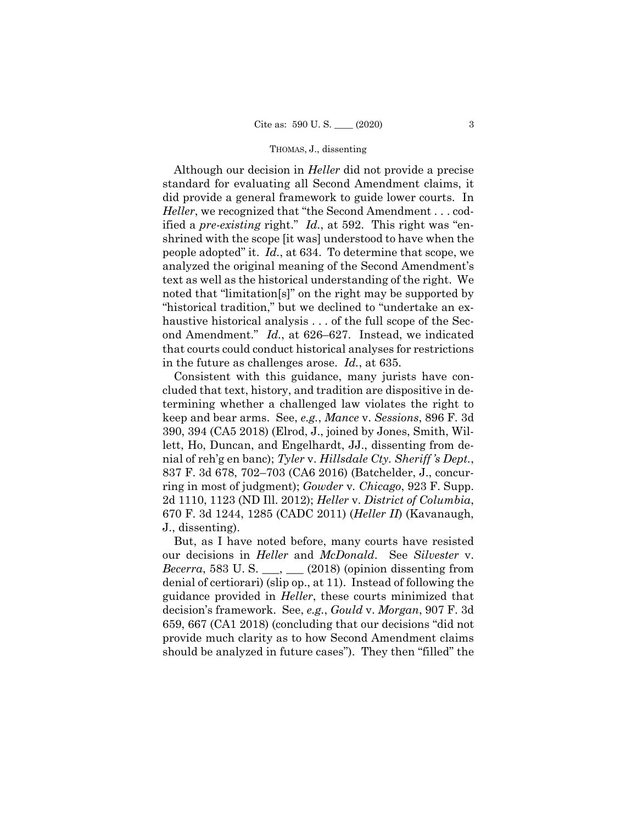Although our decision in *Heller* did not provide a precise standard for evaluating all Second Amendment claims, it did provide a general framework to guide lower courts. In *Heller*, we recognized that "the Second Amendment . . . codified a *pre-existing* right." *Id.*, at 592. This right was "enshrined with the scope [it was] understood to have when the people adopted" it. *Id.*, at 634. To determine that scope, we analyzed the original meaning of the Second Amendment's text as well as the historical understanding of the right. We noted that "limitation[s]" on the right may be supported by "historical tradition," but we declined to "undertake an exhaustive historical analysis ... of the full scope of the Second Amendment." *Id.*, at 626–627. Instead, we indicated that courts could conduct historical analyses for restrictions in the future as challenges arose. *Id.*, at 635.

Consistent with this guidance, many jurists have concluded that text, history, and tradition are dispositive in determining whether a challenged law violates the right to keep and bear arms. See, *e.g.*, *Mance* v. *Sessions*, 896 F. 3d 390, 394 (CA5 2018) (Elrod, J., joined by Jones, Smith, Willett, Ho, Duncan, and Engelhardt, JJ., dissenting from denial of reh'g en banc); *Tyler* v. *Hillsdale Cty. Sheriff 's Dept.*, 837 F. 3d 678, 702–703 (CA6 2016) (Batchelder, J., concurring in most of judgment); *Gowder* v*. Chicago*, 923 F. Supp. 2d 1110, 1123 (ND Ill. 2012); *Heller* v. *District of Columbia*, 670 F. 3d 1244, 1285 (CADC 2011) (*Heller II*) (Kavanaugh, J., dissenting).

But, as I have noted before, many courts have resisted our decisions in *Heller* and *McDonald*. See *Silvester* v. *Becerra*, 583 U.S.  $\qquad \qquad$  (2018) (opinion dissenting from denial of certiorari) (slip op., at 11). Instead of following the guidance provided in *Heller*, these courts minimized that decision's framework. See, *e.g.*, *Gould* v. *Morgan*, 907 F. 3d 659, 667 (CA1 2018) (concluding that our decisions "did not provide much clarity as to how Second Amendment claims should be analyzed in future cases"). They then "filled" the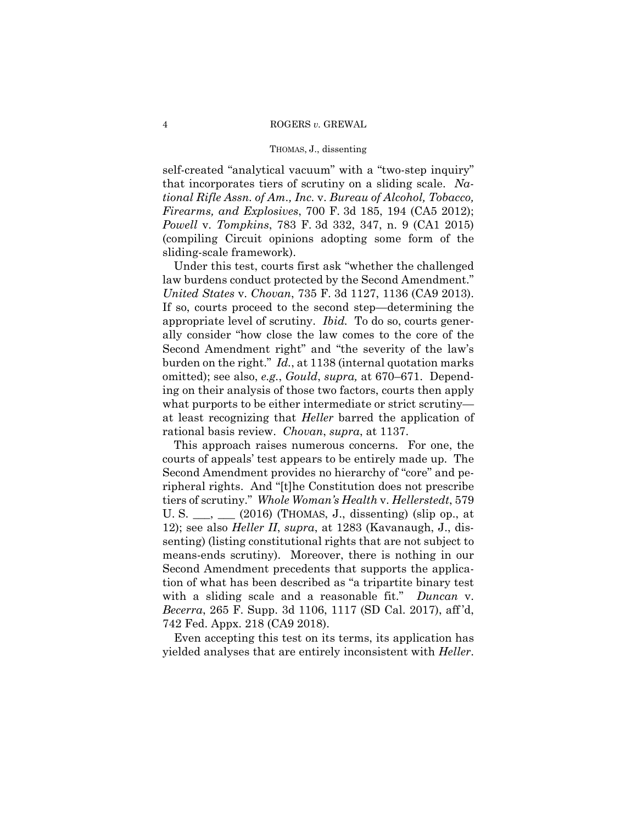self-created "analytical vacuum" with a "two-step inquiry" that incorporates tiers of scrutiny on a sliding scale. *National Rifle Assn. of Am., Inc.* v. *Bureau of Alcohol, Tobacco, Firearms, and Explosives*, 700 F. 3d 185, 194 (CA5 2012); *Powell* v. *Tompkins*, 783 F. 3d 332, 347, n. 9 (CA1 2015) (compiling Circuit opinions adopting some form of the sliding-scale framework).

Under this test, courts first ask "whether the challenged law burdens conduct protected by the Second Amendment." *United States* v. *Chovan*, 735 F. 3d 1127, 1136 (CA9 2013). If so, courts proceed to the second step—determining the appropriate level of scrutiny. *Ibid.* To do so, courts generally consider "how close the law comes to the core of the Second Amendment right" and "the severity of the law's burden on the right." *Id.*, at 1138 (internal quotation marks omitted); see also, *e.g.*, *Gould*, *supra,* at 670–671. Depending on their analysis of those two factors, courts then apply what purports to be either intermediate or strict scrutiny at least recognizing that *Heller* barred the application of rational basis review. *Chovan*, *supra*, at 1137.

This approach raises numerous concerns. For one, the courts of appeals' test appears to be entirely made up. The Second Amendment provides no hierarchy of "core" and peripheral rights. And "[t]he Constitution does not prescribe tiers of scrutiny." *Whole Woman's Health* v. *Hellerstedt*, 579 U. S. \_\_\_, \_\_\_ (2016) (THOMAS, J., dissenting) (slip op., at 12); see also *Heller II*, *supra*, at 1283 (Kavanaugh, J., dissenting) (listing constitutional rights that are not subject to means-ends scrutiny). Moreover, there is nothing in our Second Amendment precedents that supports the application of what has been described as "a tripartite binary test with a sliding scale and a reasonable fit." *Duncan* v. *Becerra*, 265 F. Supp. 3d 1106, 1117 (SD Cal. 2017), aff 'd, 742 Fed. Appx. 218 (CA9 2018).

Even accepting this test on its terms, its application has yielded analyses that are entirely inconsistent with *Heller*.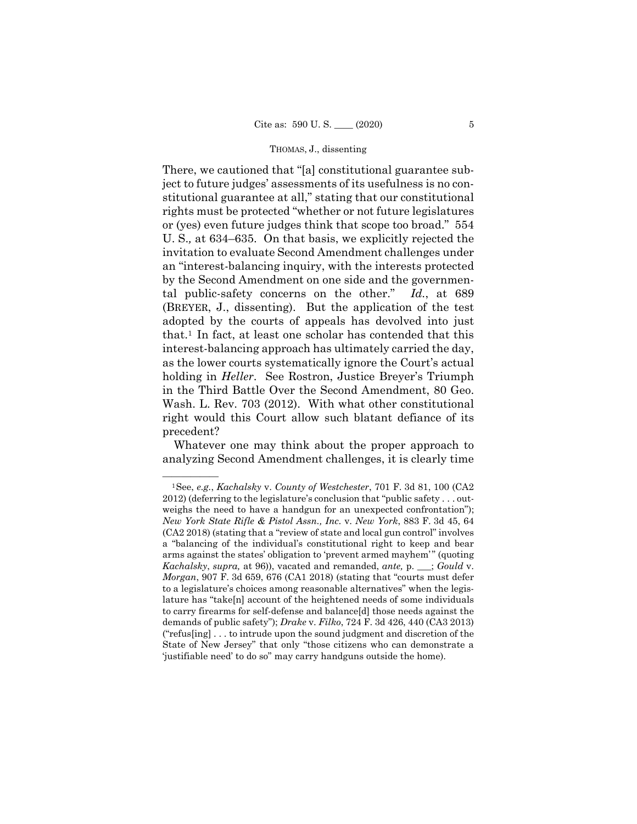There, we cautioned that "[a] constitutional guarantee subject to future judges' assessments of its usefulness is no constitutional guarantee at all," stating that our constitutional rights must be protected "whether or not future legislatures or (yes) even future judges think that scope too broad." 554 U. S.*,* at 634–635. On that basis, we explicitly rejected the invitation to evaluate Second Amendment challenges under an "interest-balancing inquiry, with the interests protected by the Second Amendment on one side and the governmental public-safety concerns on the other." *Id.*, at 689 (BREYER, J., dissenting). But the application of the test adopted by the courts of appeals has devolved into just that.1 In fact, at least one scholar has contended that this interest-balancing approach has ultimately carried the day, as the lower courts systematically ignore the Court's actual holding in *Heller*. See Rostron, Justice Breyer's Triumph in the Third Battle Over the Second Amendment, 80 Geo. Wash. L. Rev. 703 (2012). With what other constitutional right would this Court allow such blatant defiance of its precedent?

Whatever one may think about the proper approach to analyzing Second Amendment challenges, it is clearly time

<sup>&</sup>lt;sup>1</sup>See, *e.g.*, *Kachalsky* v. *County of Westchester*, 701 F. 3d 81, 100 (CA2 2012) (deferring to the legislature's conclusion that "public safety . . . outweighs the need to have a handgun for an unexpected confrontation"); *New York State Rifle & Pistol Assn., Inc.* v. *New York*, 883 F. 3d 45, 64 (CA2 2018) (stating that a "review of state and local gun control" involves a "balancing of the individual's constitutional right to keep and bear arms against the states' obligation to 'prevent armed mayhem'" (quoting *Kachalsky*, *supra,* at 96)), vacated and remanded, *ante,* p. \_\_\_; *Gould* v. *Morgan*, 907 F. 3d 659, 676 (CA1 2018) (stating that "courts must defer to a legislature's choices among reasonable alternatives" when the legislature has "take[n] account of the heightened needs of some individuals to carry firearms for self-defense and balance[d] those needs against the demands of public safety"); *Drake* v. *Filko*, 724 F. 3d 426, 440 (CA3 2013) ("refus[ing] . . . to intrude upon the sound judgment and discretion of the State of New Jersey" that only "those citizens who can demonstrate a 'justifiable need' to do so" may carry handguns outside the home).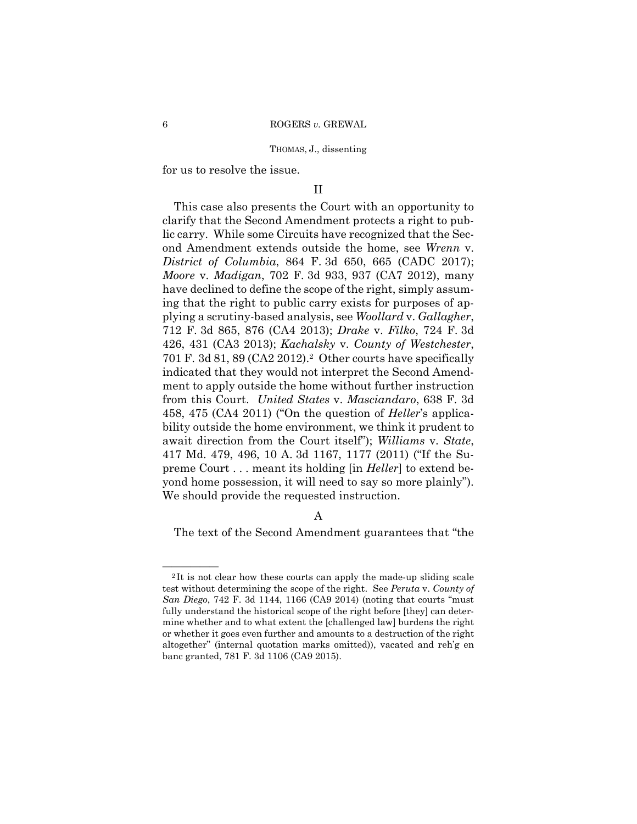for us to resolve the issue.

## II

This case also presents the Court with an opportunity to clarify that the Second Amendment protects a right to public carry. While some Circuits have recognized that the Second Amendment extends outside the home, see *Wrenn* v. *District of Columbia*, 864 F. 3d 650, 665 (CADC 2017); *Moore* v. *Madigan*, 702 F. 3d 933, 937 (CA7 2012), many have declined to define the scope of the right, simply assuming that the right to public carry exists for purposes of applying a scrutiny-based analysis, see *Woollard* v. *Gallagher*, 712 F. 3d 865, 876 (CA4 2013); *Drake* v. *Filko*, 724 F. 3d 426, 431 (CA3 2013); *Kachalsky* v. *County of Westchester*, 701 F. 3d 81, 89 (CA2 2012).2 Other courts have specifically indicated that they would not interpret the Second Amendment to apply outside the home without further instruction from this Court. *United States* v. *Masciandaro*, 638 F. 3d 458, 475 (CA4 2011) ("On the question of *Heller*'s applicability outside the home environment, we think it prudent to await direction from the Court itself"); *Williams* v. *State*, 417 Md. 479, 496, 10 A. 3d 1167, 1177 (2011) ("If the Supreme Court . . . meant its holding [in *Heller*] to extend beyond home possession, it will need to say so more plainly"). We should provide the requested instruction.

## A

The text of the Second Amendment guarantees that "the

<sup>&</sup>lt;sup>2</sup>It is not clear how these courts can apply the made-up sliding scale test without determining the scope of the right. See *Peruta* v. *County of San Diego*, 742 F. 3d 1144, 1166 (CA9 2014) (noting that courts "must fully understand the historical scope of the right before [they] can determine whether and to what extent the [challenged law] burdens the right or whether it goes even further and amounts to a destruction of the right altogether" (internal quotation marks omitted)), vacated and reh'g en banc granted, 781 F. 3d 1106 (CA9 2015).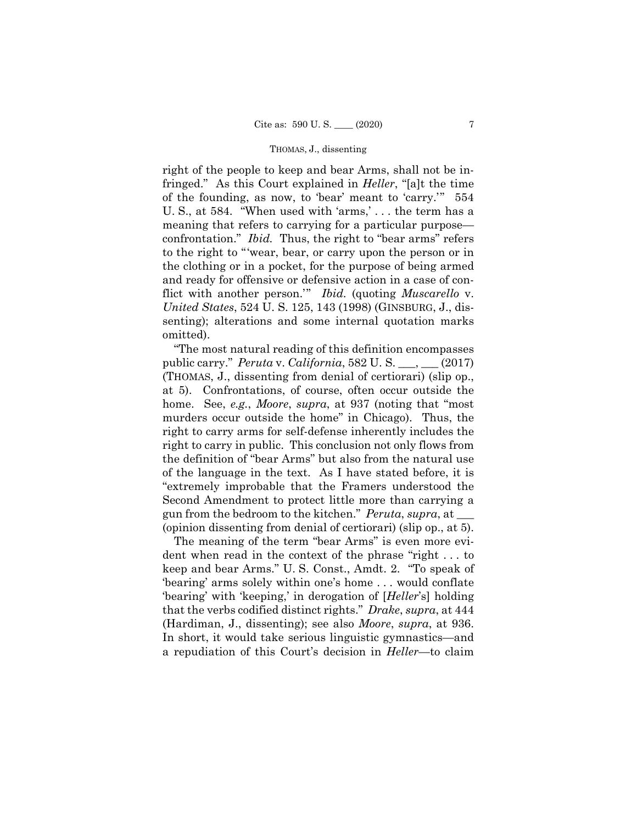confrontation." *Ibid.* Thus, the right to "bear arms" refers right of the people to keep and bear Arms, shall not be infringed." As this Court explained in *Heller*, "[a]t the time of the founding, as now, to 'bear' meant to 'carry.'" 554 U. S., at 584. "When used with 'arms,' . . . the term has a meaning that refers to carrying for a particular purpose to the right to "'wear, bear, or carry upon the person or in the clothing or in a pocket, for the purpose of being armed and ready for offensive or defensive action in a case of conflict with another person.'" *Ibid.* (quoting *Muscarello* v. *United States*, 524 U. S. 125, 143 (1998) (GINSBURG, J., dissenting); alterations and some internal quotation marks omitted).

"The most natural reading of this definition encompasses public carry." *Peruta* v. *California*, 582 U. S. \_\_\_, \_\_\_ (2017) (THOMAS, J., dissenting from denial of certiorari) (slip op., at 5). Confrontations, of course, often occur outside the home. See, *e.g.*, *Moore*, *supra*, at 937 (noting that "most murders occur outside the home" in Chicago). Thus, the right to carry arms for self-defense inherently includes the right to carry in public. This conclusion not only flows from the definition of "bear Arms" but also from the natural use of the language in the text. As I have stated before, it is "extremely improbable that the Framers understood the Second Amendment to protect little more than carrying a gun from the bedroom to the kitchen." *Peruta*, *supra*, at \_\_\_ (opinion dissenting from denial of certiorari) (slip op., at 5).

The meaning of the term "bear Arms" is even more evident when read in the context of the phrase "right . . . to keep and bear Arms." U. S. Const., Amdt. 2. "To speak of 'bearing' arms solely within one's home . . . would conflate 'bearing' with 'keeping,' in derogation of [*Heller*'s] holding that the verbs codified distinct rights." *Drake*, *supra*, at 444 (Hardiman, J., dissenting); see also *Moore*, *supra*, at 936. In short, it would take serious linguistic gymnastics—and a repudiation of this Court's decision in *Heller*—to claim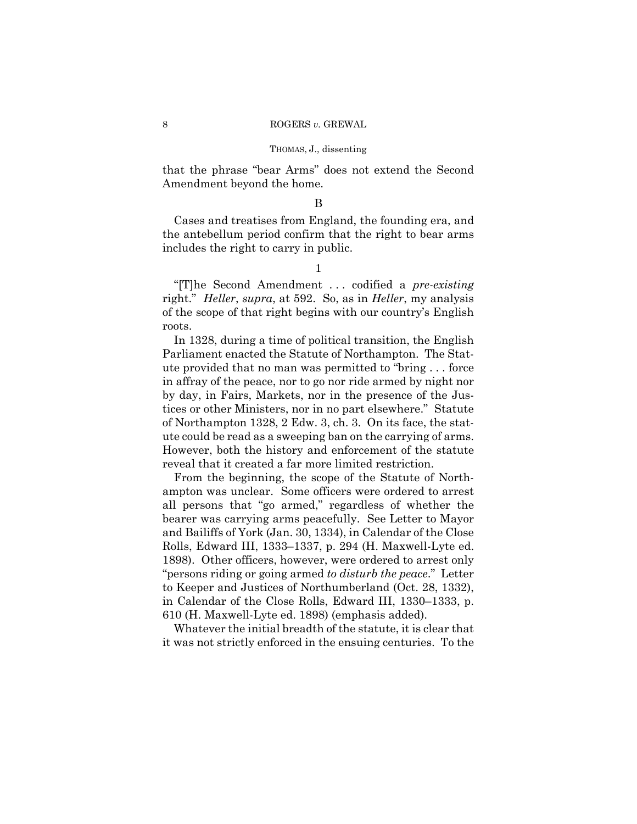that the phrase "bear Arms" does not extend the Second Amendment beyond the home.

### B

Cases and treatises from England, the founding era, and the antebellum period confirm that the right to bear arms includes the right to carry in public.

1

"[T]he Second Amendment . . . codified a *pre-existing*  right." *Heller*, *supra*, at 592. So, as in *Heller*, my analysis of the scope of that right begins with our country's English roots.

In 1328, during a time of political transition, the English Parliament enacted the Statute of Northampton. The Statute provided that no man was permitted to "bring . . . force in affray of the peace, nor to go nor ride armed by night nor by day, in Fairs, Markets, nor in the presence of the Justices or other Ministers, nor in no part elsewhere." Statute of Northampton 1328, 2 Edw. 3, ch. 3. On its face, the statute could be read as a sweeping ban on the carrying of arms. However, both the history and enforcement of the statute reveal that it created a far more limited restriction.

From the beginning, the scope of the Statute of Northampton was unclear. Some officers were ordered to arrest all persons that "go armed," regardless of whether the bearer was carrying arms peacefully. See Letter to Mayor and Bailiffs of York (Jan. 30, 1334), in Calendar of the Close Rolls, Edward III, 1333–1337, p. 294 (H. Maxwell-Lyte ed. 1898). Other officers, however, were ordered to arrest only "persons riding or going armed *to disturb the peace*." Letter to Keeper and Justices of Northumberland (Oct. 28, 1332), in Calendar of the Close Rolls, Edward III, 1330–1333, p. 610 (H. Maxwell-Lyte ed. 1898) (emphasis added).

Whatever the initial breadth of the statute, it is clear that it was not strictly enforced in the ensuing centuries. To the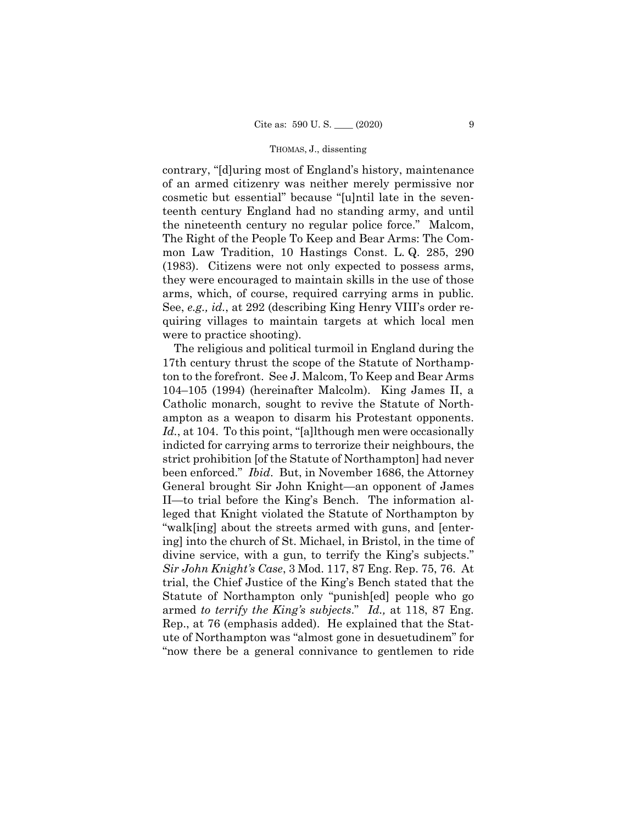contrary, "[d]uring most of England's history, maintenance of an armed citizenry was neither merely permissive nor cosmetic but essential" because "[u]ntil late in the seventeenth century England had no standing army, and until the nineteenth century no regular police force." Malcom, The Right of the People To Keep and Bear Arms: The Common Law Tradition, 10 Hastings Const. L. Q. 285, 290 (1983). Citizens were not only expected to possess arms, they were encouraged to maintain skills in the use of those arms, which, of course, required carrying arms in public. See, *e.g., id.*, at 292 (describing King Henry VIII's order requiring villages to maintain targets at which local men were to practice shooting).

The religious and political turmoil in England during the 17th century thrust the scope of the Statute of Northampton to the forefront. See J. Malcom, To Keep and Bear Arms 104–105 (1994) (hereinafter Malcolm). King James II, a Catholic monarch, sought to revive the Statute of Northampton as a weapon to disarm his Protestant opponents. Id., at 104. To this point, "[a]lthough men were occasionally indicted for carrying arms to terrorize their neighbours, the strict prohibition [of the Statute of Northampton] had never been enforced." *Ibid*. But, in November 1686, the Attorney General brought Sir John Knight—an opponent of James II—to trial before the King's Bench. The information alleged that Knight violated the Statute of Northampton by "walk[ing] about the streets armed with guns, and [entering] into the church of St. Michael, in Bristol, in the time of divine service, with a gun, to terrify the King's subjects." *Sir John Knight's Case*, 3 Mod. 117, 87 Eng. Rep. 75, 76. At trial, the Chief Justice of the King's Bench stated that the Statute of Northampton only "punish[ed] people who go armed *to terrify the King's subjects*." *Id.,* at 118, 87 Eng. Rep., at 76 (emphasis added). He explained that the Statute of Northampton was "almost gone in desuetudinem" for "now there be a general connivance to gentlemen to ride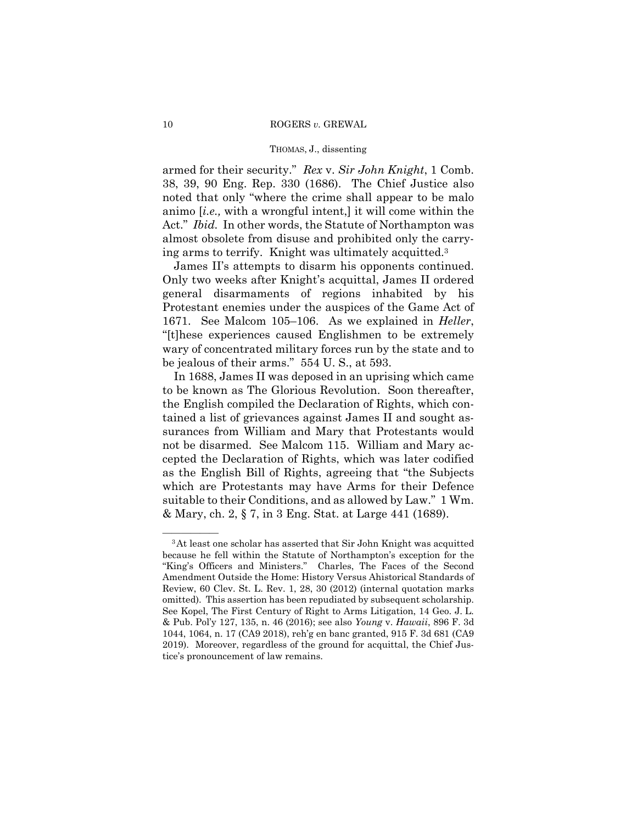#### 10 ROGERS *v.* GREWAL

#### THOMAS, J., dissenting

armed for their security." *Rex* v. *Sir John Knight*, 1 Comb. 38, 39, 90 Eng. Rep. 330 (1686). The Chief Justice also noted that only "where the crime shall appear to be malo animo [*i.e.,* with a wrongful intent,] it will come within the Act." *Ibid.* In other words, the Statute of Northampton was almost obsolete from disuse and prohibited only the carrying arms to terrify. Knight was ultimately acquitted.3

James II's attempts to disarm his opponents continued. Only two weeks after Knight's acquittal, James II ordered general disarmaments of regions inhabited by his Protestant enemies under the auspices of the Game Act of 1671. See Malcom 105–106. As we explained in *Heller*, "[t]hese experiences caused Englishmen to be extremely wary of concentrated military forces run by the state and to be jealous of their arms." 554 U. S., at 593.

In 1688, James II was deposed in an uprising which came to be known as The Glorious Revolution. Soon thereafter, the English compiled the Declaration of Rights, which contained a list of grievances against James II and sought assurances from William and Mary that Protestants would not be disarmed. See Malcom 115. William and Mary accepted the Declaration of Rights, which was later codified as the English Bill of Rights, agreeing that "the Subjects which are Protestants may have Arms for their Defence suitable to their Conditions, and as allowed by Law." 1 Wm. & Mary, ch. 2, § 7, in 3 Eng. Stat. at Large 441 (1689).

 omitted). This assertion has been repudiated by subsequent scholarship. <sup>3</sup>At least one scholar has asserted that Sir John Knight was acquitted because he fell within the Statute of Northampton's exception for the "King's Officers and Ministers." Charles, The Faces of the Second Amendment Outside the Home: History Versus Ahistorical Standards of Review, 60 Clev. St. L. Rev. 1, 28, 30 (2012) (internal quotation marks See Kopel, The First Century of Right to Arms Litigation, 14 Geo. J. L. & Pub. Pol'y 127, 135, n. 46 (2016); see also *Young* v. *Hawaii*, 896 F. 3d 1044, 1064, n. 17 (CA9 2018), reh'g en banc granted, 915 F. 3d 681 (CA9 2019). Moreover, regardless of the ground for acquittal, the Chief Justice's pronouncement of law remains.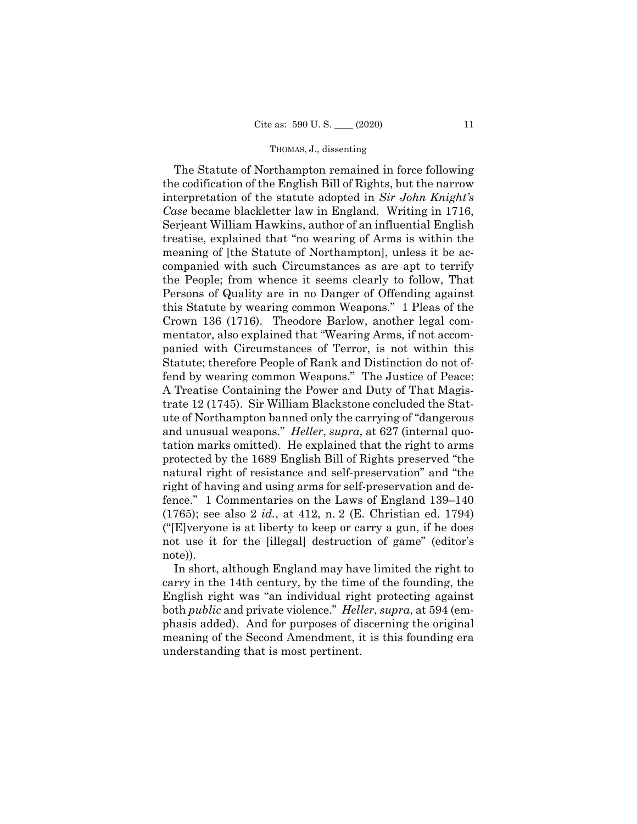The Statute of Northampton remained in force following the codification of the English Bill of Rights, but the narrow interpretation of the statute adopted in *Sir John Knight's Case* became blackletter law in England. Writing in 1716, Serjeant William Hawkins, author of an influential English treatise, explained that "no wearing of Arms is within the meaning of [the Statute of Northampton], unless it be accompanied with such Circumstances as are apt to terrify the People; from whence it seems clearly to follow, That Persons of Quality are in no Danger of Offending against this Statute by wearing common Weapons." 1 Pleas of the Crown 136 (1716). Theodore Barlow, another legal commentator, also explained that "Wearing Arms, if not accompanied with Circumstances of Terror, is not within this Statute; therefore People of Rank and Distinction do not offend by wearing common Weapons." The Justice of Peace: A Treatise Containing the Power and Duty of That Magistrate 12 (1745). Sir William Blackstone concluded the Statute of Northampton banned only the carrying of "dangerous and unusual weapons." *Heller*, *supra*, at 627 (internal quotation marks omitted). He explained that the right to arms protected by the 1689 English Bill of Rights preserved "the natural right of resistance and self-preservation" and "the right of having and using arms for self-preservation and defence." 1 Commentaries on the Laws of England 139–140 (1765); see also 2 *id.*, at 412, n. 2 (E. Christian ed. 1794) ("[E]veryone is at liberty to keep or carry a gun, if he does not use it for the [illegal] destruction of game" (editor's note)).

In short, although England may have limited the right to carry in the 14th century, by the time of the founding, the English right was "an individual right protecting against both *public* and private violence." *Heller*, *supra*, at 594 (emphasis added). And for purposes of discerning the original meaning of the Second Amendment, it is this founding era understanding that is most pertinent.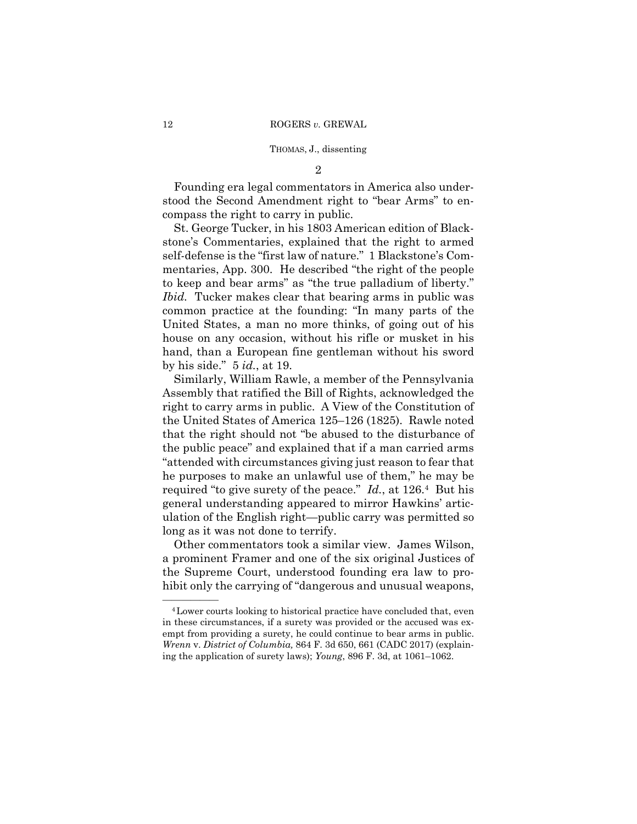2

Founding era legal commentators in America also understood the Second Amendment right to "bear Arms" to encompass the right to carry in public.

St. George Tucker, in his 1803 American edition of Blackstone's Commentaries, explained that the right to armed self-defense is the "first law of nature." 1 Blackstone's Commentaries, App. 300. He described "the right of the people to keep and bear arms" as "the true palladium of liberty." *Ibid.* Tucker makes clear that bearing arms in public was common practice at the founding: "In many parts of the United States, a man no more thinks, of going out of his house on any occasion, without his rifle or musket in his hand, than a European fine gentleman without his sword by his side." 5 *id.*, at 19.

Similarly, William Rawle, a member of the Pennsylvania Assembly that ratified the Bill of Rights, acknowledged the right to carry arms in public. A View of the Constitution of the United States of America 125–126 (1825). Rawle noted that the right should not "be abused to the disturbance of the public peace" and explained that if a man carried arms "attended with circumstances giving just reason to fear that he purposes to make an unlawful use of them," he may be required "to give surety of the peace." *Id.*, at 126.4 But his general understanding appeared to mirror Hawkins' articulation of the English right—public carry was permitted so long as it was not done to terrify.

Other commentators took a similar view. James Wilson, a prominent Framer and one of the six original Justices of the Supreme Court, understood founding era law to prohibit only the carrying of "dangerous and unusual weapons,

 in these circumstances, if a surety was provided or the accused was ex-<sup>4</sup> Lower courts looking to historical practice have concluded that, even empt from providing a surety, he could continue to bear arms in public. *Wrenn* v. *District of Columbia,* 864 F. 3d 650, 661 (CADC 2017) (explaining the application of surety laws); *Young*, 896 F. 3d, at 1061–1062.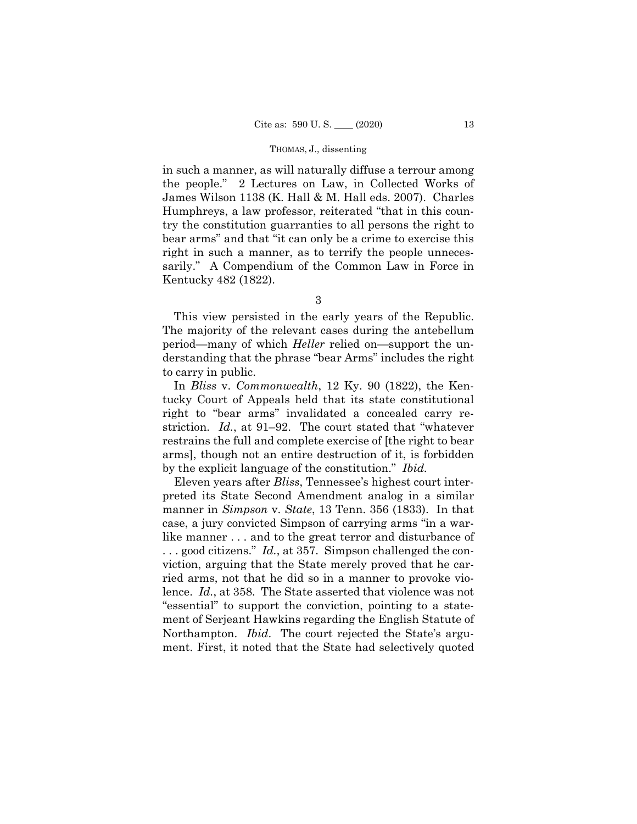in such a manner, as will naturally diffuse a terrour among the people." 2 Lectures on Law, in Collected Works of James Wilson 1138 (K. Hall & M. Hall eds. 2007). Charles Humphreys, a law professor, reiterated "that in this country the constitution guarranties to all persons the right to bear arms" and that "it can only be a crime to exercise this right in such a manner, as to terrify the people unnecessarily." A Compendium of the Common Law in Force in Kentucky 482 (1822).

3

This view persisted in the early years of the Republic. The majority of the relevant cases during the antebellum period—many of which *Heller* relied on—support the understanding that the phrase "bear Arms" includes the right to carry in public.

In *Bliss* v. *Commonwealth*, 12 Ky. 90 (1822), the Kentucky Court of Appeals held that its state constitutional right to "bear arms" invalidated a concealed carry restriction. *Id.*, at 91–92. The court stated that "whatever restrains the full and complete exercise of [the right to bear arms], though not an entire destruction of it, is forbidden by the explicit language of the constitution." *Ibid.* 

Eleven years after *Bliss*, Tennessee's highest court interpreted its State Second Amendment analog in a similar manner in *Simpson* v. *State*, 13 Tenn. 356 (1833). In that case, a jury convicted Simpson of carrying arms "in a warlike manner . . . and to the great terror and disturbance of . . . good citizens." *Id.*, at 357. Simpson challenged the conviction, arguing that the State merely proved that he carried arms, not that he did so in a manner to provoke violence. *Id.*, at 358. The State asserted that violence was not "essential" to support the conviction, pointing to a statement of Serjeant Hawkins regarding the English Statute of Northampton. *Ibid*. The court rejected the State's argument. First, it noted that the State had selectively quoted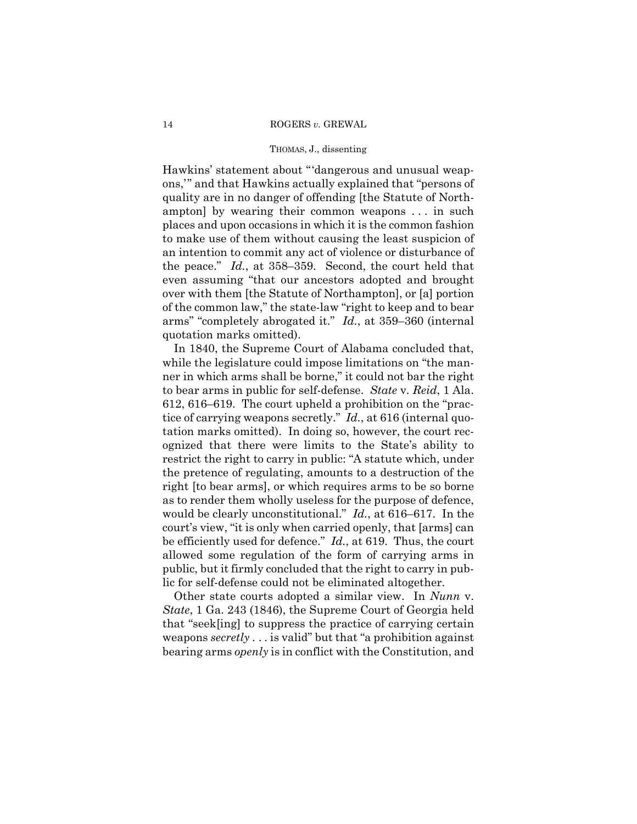Hawkins' statement about "'dangerous and unusual weapons,'" and that Hawkins actually explained that "persons of quality are in no danger of offending [the Statute of Northampton] by wearing their common weapons . . . in such places and upon occasions in which it is the common fashion to make use of them without causing the least suspicion of an intention to commit any act of violence or disturbance of the peace." *Id.*, at 358–359. Second, the court held that even assuming "that our ancestors adopted and brought over with them [the Statute of Northampton], or [a] portion of the common law," the state-law "right to keep and to bear arms" "completely abrogated it." *Id.*, at 359–360 (internal quotation marks omitted).

In 1840, the Supreme Court of Alabama concluded that, while the legislature could impose limitations on "the manner in which arms shall be borne," it could not bar the right to bear arms in public for self-defense. *State* v. *Reid*, 1 Ala. 612, 616–619. The court upheld a prohibition on the "practice of carrying weapons secretly." *Id.*, at 616 (internal quotation marks omitted). In doing so, however, the court recognized that there were limits to the State's ability to restrict the right to carry in public: "A statute which, under the pretence of regulating, amounts to a destruction of the right [to bear arms], or which requires arms to be so borne as to render them wholly useless for the purpose of defence, would be clearly unconstitutional." *Id.*, at 616–617. In the court's view, "it is only when carried openly, that [arms] can be efficiently used for defence." *Id.*, at 619. Thus, the court allowed some regulation of the form of carrying arms in public, but it firmly concluded that the right to carry in public for self-defense could not be eliminated altogether.

Other state courts adopted a similar view. In *Nunn* v. *State*, 1 Ga. 243 (1846), the Supreme Court of Georgia held that "seek[ing] to suppress the practice of carrying certain weapons *secretly* . . . is valid" but that "a prohibition against bearing arms *openly* is in conflict with the Constitution, and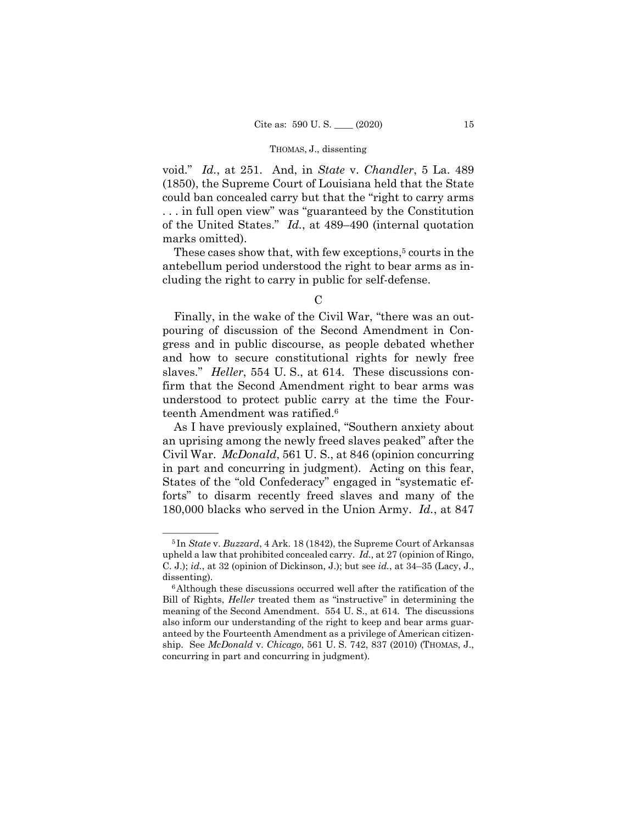void." *Id.*, at 251. And, in *State* v. *Chandler*, 5 La. 489 (1850), the Supreme Court of Louisiana held that the State could ban concealed carry but that the "right to carry arms . . . in full open view" was "guaranteed by the Constitution of the United States." *Id.*, at 489–490 (internal quotation marks omitted).

These cases show that, with few exceptions,<sup>5</sup> courts in the antebellum period understood the right to bear arms as including the right to carry in public for self-defense.

Finally, in the wake of the Civil War, "there was an outpouring of discussion of the Second Amendment in Congress and in public discourse, as people debated whether and how to secure constitutional rights for newly free slaves." *Heller*, 554 U. S., at 614. These discussions confirm that the Second Amendment right to bear arms was understood to protect public carry at the time the Fourteenth Amendment was ratified.<sup>6</sup>

As I have previously explained, "Southern anxiety about an uprising among the newly freed slaves peaked" after the Civil War. *McDonald*, 561 U. S., at 846 (opinion concurring in part and concurring in judgment). Acting on this fear, States of the "old Confederacy" engaged in "systematic efforts" to disarm recently freed slaves and many of the 180,000 blacks who served in the Union Army. *Id.*, at 847

 $\mathcal{C}$ 

<sup>&</sup>lt;sup>5</sup>In *State* v. *Buzzard*, 4 Ark. 18 (1842), the Supreme Court of Arkansas upheld a law that prohibited concealed carry. *Id.,* at 27 (opinion of Ringo, C. J.); *id.*, at 32 (opinion of Dickinson, J.); but see *id.*, at 34–35 (Lacy, J., dissenting).<br><sup>6</sup>Although these discussions occurred well after the ratification of the

 meaning of the Second Amendment. 554 U. S., at 614*.* The discussions Bill of Rights, *Heller* treated them as "instructive" in determining the also inform our understanding of the right to keep and bear arms guaranteed by the Fourteenth Amendment as a privilege of American citizenship. See *McDonald* v. *Chicago*, 561 U. S. 742, 837 (2010) (THOMAS, J., concurring in part and concurring in judgment).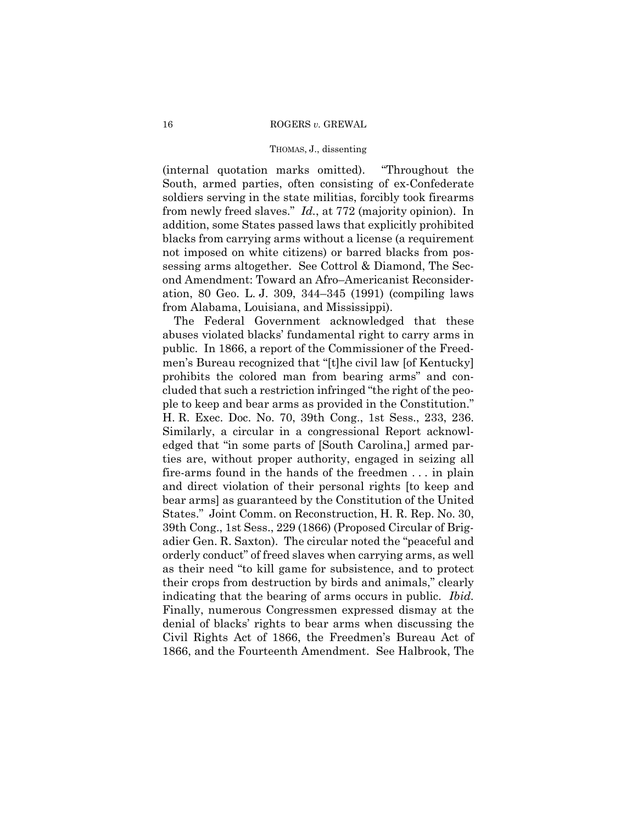(internal quotation marks omitted). "Throughout the South, armed parties, often consisting of ex-Confederate soldiers serving in the state militias, forcibly took firearms from newly freed slaves." *Id.*, at 772 (majority opinion). In addition, some States passed laws that explicitly prohibited blacks from carrying arms without a license (a requirement not imposed on white citizens) or barred blacks from possessing arms altogether. See Cottrol & Diamond, The Second Amendment: Toward an Afro–Americanist Reconsideration, 80 Geo. L. J. 309, 344–345 (1991) (compiling laws from Alabama, Louisiana, and Mississippi).

The Federal Government acknowledged that these abuses violated blacks' fundamental right to carry arms in public. In 1866, a report of the Commissioner of the Freedmen's Bureau recognized that "[t]he civil law [of Kentucky] prohibits the colored man from bearing arms" and concluded that such a restriction infringed "the right of the people to keep and bear arms as provided in the Constitution." H. R. Exec. Doc. No. 70, 39th Cong., 1st Sess., 233, 236. Similarly, a circular in a congressional Report acknowledged that "in some parts of [South Carolina,] armed parties are, without proper authority, engaged in seizing all fire-arms found in the hands of the freedmen . . . in plain and direct violation of their personal rights [to keep and bear arms] as guaranteed by the Constitution of the United States." Joint Comm. on Reconstruction, H. R. Rep. No. 30, 39th Cong., 1st Sess., 229 (1866) (Proposed Circular of Brigadier Gen. R. Saxton). The circular noted the "peaceful and orderly conduct" of freed slaves when carrying arms, as well as their need "to kill game for subsistence, and to protect their crops from destruction by birds and animals," clearly indicating that the bearing of arms occurs in public. *Ibid.* Finally, numerous Congressmen expressed dismay at the denial of blacks' rights to bear arms when discussing the Civil Rights Act of 1866, the Freedmen's Bureau Act of 1866, and the Fourteenth Amendment. See Halbrook, The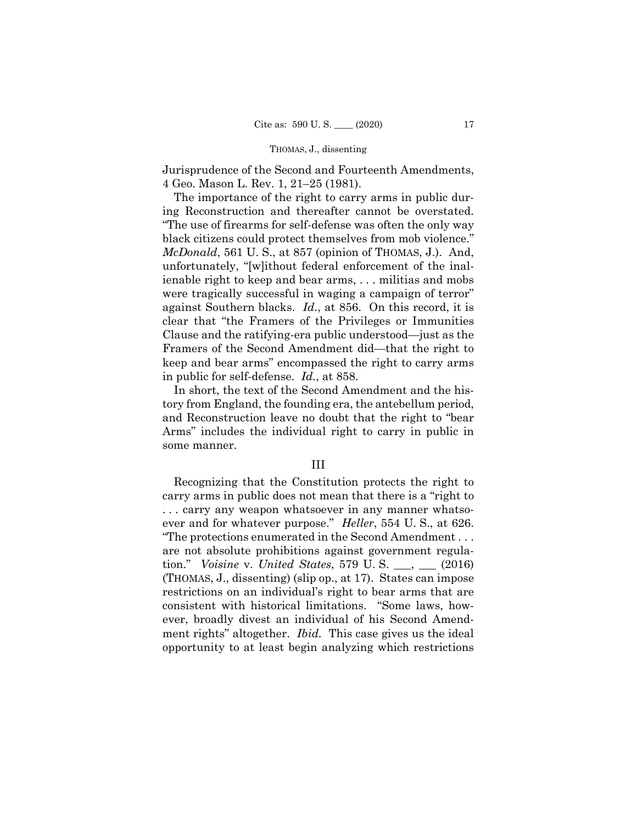Jurisprudence of the Second and Fourteenth Amendments, 4 Geo. Mason L. Rev. 1, 21–25 (1981).

The importance of the right to carry arms in public during Reconstruction and thereafter cannot be overstated. "The use of firearms for self-defense was often the only way black citizens could protect themselves from mob violence." *McDonald*, 561 U. S., at 857 (opinion of THOMAS, J.). And, unfortunately, "[w]ithout federal enforcement of the inalienable right to keep and bear arms, . . . militias and mobs were tragically successful in waging a campaign of terror" against Southern blacks. *Id.*, at 856. On this record, it is clear that "the Framers of the Privileges or Immunities Clause and the ratifying-era public understood—just as the Framers of the Second Amendment did—that the right to keep and bear arms" encompassed the right to carry arms in public for self-defense. *Id.*, at 858.

In short, the text of the Second Amendment and the history from England, the founding era, the antebellum period, and Reconstruction leave no doubt that the right to "bear Arms" includes the individual right to carry in public in some manner.

## III

Recognizing that the Constitution protects the right to carry arms in public does not mean that there is a "right to . . . carry any weapon whatsoever in any manner whatsoever and for whatever purpose." *Heller*, 554 U. S., at 626. "The protections enumerated in the Second Amendment . . . are not absolute prohibitions against government regulation." *Voisine* v. *United States*, 579 U. S. \_\_\_, \_\_\_ (2016) (THOMAS, J., dissenting) (slip op., at 17). States can impose restrictions on an individual's right to bear arms that are consistent with historical limitations. "Some laws, however, broadly divest an individual of his Second Amendment rights" altogether. *Ibid.* This case gives us the ideal opportunity to at least begin analyzing which restrictions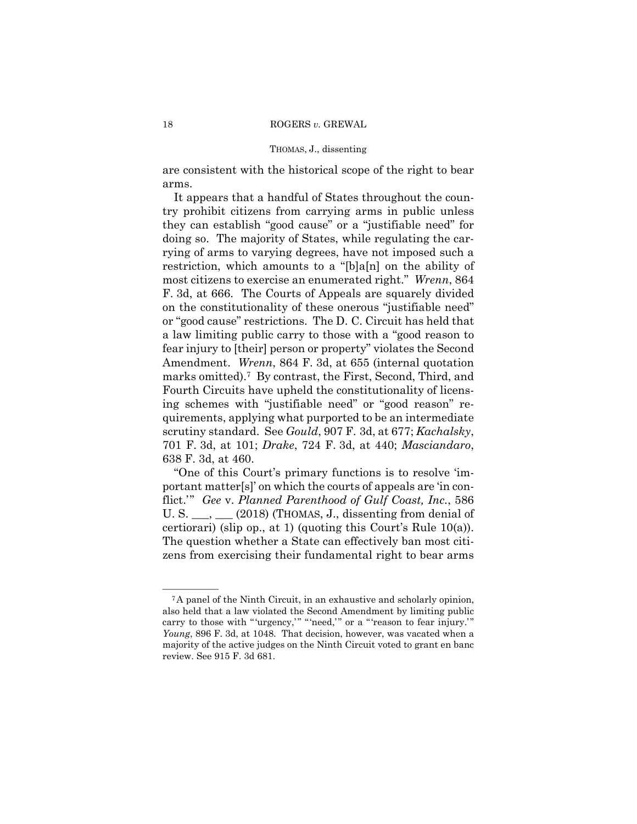are consistent with the historical scope of the right to bear arms.

It appears that a handful of States throughout the country prohibit citizens from carrying arms in public unless they can establish "good cause" or a "justifiable need" for doing so. The majority of States, while regulating the carrying of arms to varying degrees, have not imposed such a restriction, which amounts to a "[b]a[n] on the ability of most citizens to exercise an enumerated right." *Wrenn*, 864 F. 3d, at 666. The Courts of Appeals are squarely divided on the constitutionality of these onerous "justifiable need" or "good cause" restrictions. The D. C. Circuit has held that a law limiting public carry to those with a "good reason to fear injury to [their] person or property" violates the Second Amendment. *Wrenn*, 864 F. 3d, at 655 (internal quotation marks omitted).7 By contrast, the First, Second, Third, and Fourth Circuits have upheld the constitutionality of licensing schemes with "justifiable need" or "good reason" requirements, applying what purported to be an intermediate scrutiny standard. See *Gould*, 907 F. 3d, at 677; *Kachalsky*, 701 F. 3d, at 101; *Drake*, 724 F. 3d, at 440; *Masciandaro*, 638 F. 3d, at 460.

 certiorari) (slip op., at 1) (quoting this Court's Rule 10(a)). "One of this Court's primary functions is to resolve 'important matter[s]' on which the courts of appeals are 'in conflict.'" *Gee* v. *Planned Parenthood of Gulf Coast, Inc.*, 586 U. S.  $\_\_\_\_\_\_\_\_\_\$  (2018) (THOMAS, J., dissenting from denial of The question whether a State can effectively ban most citizens from exercising their fundamental right to bear arms

carry to those with "'urgency,'" "'need,'" or a "'reason to fear injury.'" <sup>7</sup>A panel of the Ninth Circuit, in an exhaustive and scholarly opinion, also held that a law violated the Second Amendment by limiting public *Young*, 896 F. 3d, at 1048. That decision, however, was vacated when a majority of the active judges on the Ninth Circuit voted to grant en banc review. See 915 F. 3d 681.